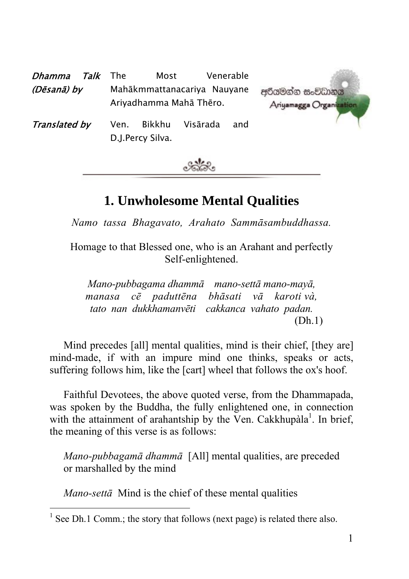| <i>Talk</i> The<br>Dhamma<br>(Dēsanā) by | Most<br>Mahākmmattanacariya Nauyane<br>Ariyadhamma Mahā Thēro. | Venerable       | අරියමන්න සංවිධානය<br>Ariyamagga Organiz |
|------------------------------------------|----------------------------------------------------------------|-----------------|-----------------------------------------|
| Translated by                            | Bikkhu<br>Ven.<br>D.J.Percy Silva.                             | Visārada<br>and |                                         |



# **1. Unwholesome Mental Qualities**

*Namo tassa Bhagavato, Arahato Sammāsambuddhassa.* 

Homage to that Blessed one, who is an Arahant and perfectly Self-enlightened.

*Mano-pubbagama dhammā mano-settā mano-mayā, manasa cē paduttēna bhāsati vā karoti và, tato nan dukkhamanvēti cakkanca vahato padan.*  (Dh.1)

Mind precedes [all] mental qualities, mind is their chief, [they are] mind-made, if with an impure mind one thinks, speaks or acts, suffering follows him, like the [cart] wheel that follows the ox's hoof.

Faithful Devotees, the above quoted verse, from the Dhammapada, was spoken by the Buddha, the fully enlightened one, in connection with the attainment of arahantship by the Ven. Cakkhupàla<sup>1</sup>. In brief, the meaning of this verse is as follows:

*Mano-pubbagamā dhammā* [All] mental qualities, are preceded or marshalled by the mind

*Mano-settā* Mind is the chief of these mental qualities

 $\frac{1}{1}$  $<sup>1</sup>$  See Dh.1 Comm.; the story that follows (next page) is related there also.</sup>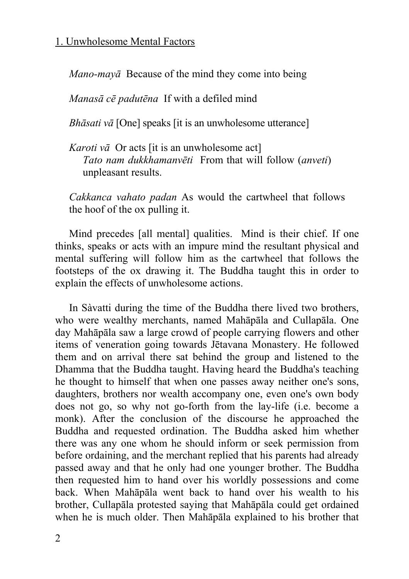*Mano-mayā* Because of the mind they come into being

*Manasā cē padutēna* If with a defiled mind

*Bhāsati vā* [One] speaks [it is an unwholesome utterance]

*Karoti vā* Or acts [it is an unwholesome act] *Tato nam dukkhamanvēti* From that will follow (*anveti*) unpleasant results.

*Cakkanca vahato padan* As would the cartwheel that follows the hoof of the ox pulling it.

Mind precedes [all mental] qualities. Mind is their chief. If one thinks, speaks or acts with an impure mind the resultant physical and mental suffering will follow him as the cartwheel that follows the footsteps of the ox drawing it. The Buddha taught this in order to explain the effects of unwholesome actions.

In Sàvatti during the time of the Buddha there lived two brothers, who were wealthy merchants, named Mahāpāla and Cullapāla. One day Mahāpāla saw a large crowd of people carrying flowers and other items of veneration going towards Jētavana Monastery. He followed them and on arrival there sat behind the group and listened to the Dhamma that the Buddha taught. Having heard the Buddha's teaching he thought to himself that when one passes away neither one's sons, daughters, brothers nor wealth accompany one, even one's own body does not go, so why not go-forth from the lay-life (i.e. become a monk). After the conclusion of the discourse he approached the Buddha and requested ordination. The Buddha asked him whether there was any one whom he should inform or seek permission from before ordaining, and the merchant replied that his parents had already passed away and that he only had one younger brother. The Buddha then requested him to hand over his worldly possessions and come back. When Mahāpāla went back to hand over his wealth to his brother, Cullapāla protested saying that Mahāpāla could get ordained when he is much older. Then Mahāpāla explained to his brother that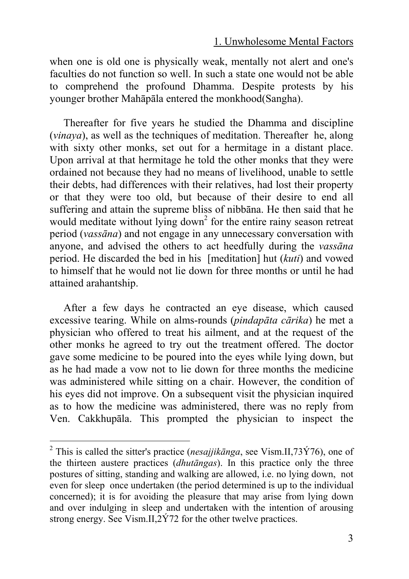when one is old one is physically weak, mentally not alert and one's faculties do not function so well. In such a state one would not be able to comprehend the profound Dhamma. Despite protests by his younger brother Mahāpāla entered the monkhood(Sangha).

Thereafter for five years he studied the Dhamma and discipline (*vinaya*), as well as the techniques of meditation. Thereafter he, along with sixty other monks, set out for a hermitage in a distant place. Upon arrival at that hermitage he told the other monks that they were ordained not because they had no means of livelihood, unable to settle their debts, had differences with their relatives, had lost their property or that they were too old, but because of their desire to end all suffering and attain the supreme bliss of nibbāna. He then said that he would meditate without lying down<sup>2</sup> for the entire rainy season retreat period (*vassāna*) and not engage in any unnecessary conversation with anyone, and advised the others to act heedfully during the *vassāna* period. He discarded the bed in his [meditation] hut (*kuti*) and vowed to himself that he would not lie down for three months or until he had attained arahantship.

After a few days he contracted an eye disease, which caused excessive tearing. While on alms-rounds (*pindapāta cārika*) he met a physician who offered to treat his ailment, and at the request of the other monks he agreed to try out the treatment offered. The doctor gave some medicine to be poured into the eyes while lying down, but as he had made a vow not to lie down for three months the medicine was administered while sitting on a chair. However, the condition of his eyes did not improve. On a subsequent visit the physician inquired as to how the medicine was administered, there was no reply from Ven. Cakkhupāla. This prompted the physician to inspect the

<sup>&</sup>lt;sup>2</sup> This is called the sitter's practice (*nesajjik* $\bar{a}$ *nga*, see Vism.II,73 $\acute{Y}$ 76), one of the thirteen austere practices (*dhutāngas*). In this practice only the three postures of sitting, standing and walking are allowed, i.e. no lying down, not even for sleep once undertaken (the period determined is up to the individual concerned); it is for avoiding the pleasure that may arise from lying down and over indulging in sleep and undertaken with the intention of arousing strong energy. See Vism.II,2Ý72 for the other twelve practices.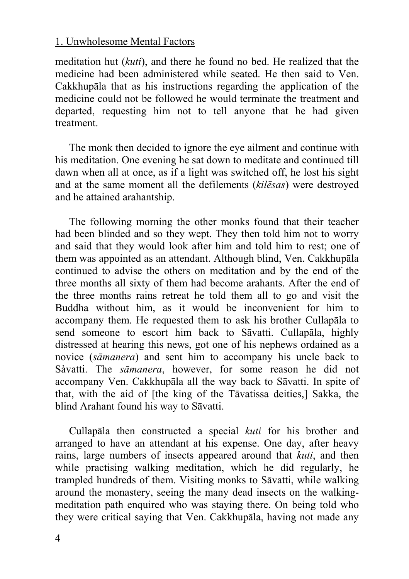meditation hut (*kuti*), and there he found no bed. He realized that the medicine had been administered while seated. He then said to Ven. Cakkhupāla that as his instructions regarding the application of the medicine could not be followed he would terminate the treatment and departed, requesting him not to tell anyone that he had given treatment.

The monk then decided to ignore the eye ailment and continue with his meditation. One evening he sat down to meditate and continued till dawn when all at once, as if a light was switched off, he lost his sight and at the same moment all the defilements (*kilēsas*) were destroyed and he attained arahantship.

The following morning the other monks found that their teacher had been blinded and so they wept. They then told him not to worry and said that they would look after him and told him to rest; one of them was appointed as an attendant. Although blind, Ven. Cakkhupāla continued to advise the others on meditation and by the end of the three months all sixty of them had become arahants. After the end of the three months rains retreat he told them all to go and visit the Buddha without him, as it would be inconvenient for him to accompany them. He requested them to ask his brother Cullapāla to send someone to escort him back to Sāvatti. Cullapāla, highly distressed at hearing this news, got one of his nephews ordained as a novice (*sāmanera*) and sent him to accompany his uncle back to Sàvatti. The *sāmanera*, however, for some reason he did not accompany Ven. Cakkhupāla all the way back to Sāvatti. In spite of that, with the aid of [the king of the Tāvatissa deities,] Sakka, the blind Arahant found his way to Sāvatti.

Cullapāla then constructed a special *kuti* for his brother and arranged to have an attendant at his expense. One day, after heavy rains, large numbers of insects appeared around that *kuti*, and then while practising walking meditation, which he did regularly, he trampled hundreds of them. Visiting monks to Sāvatti, while walking around the monastery, seeing the many dead insects on the walkingmeditation path enquired who was staying there. On being told who they were critical saying that Ven. Cakkhupāla, having not made any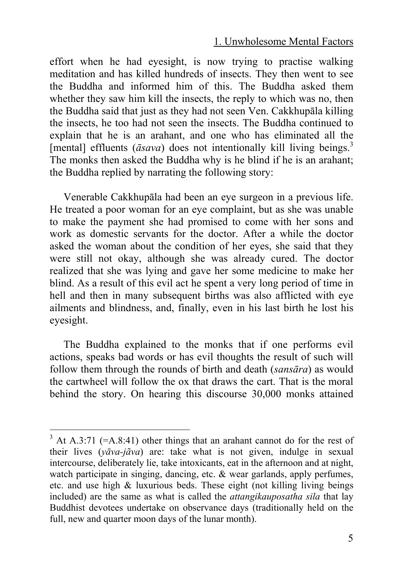effort when he had eyesight, is now trying to practise walking meditation and has killed hundreds of insects. They then went to see the Buddha and informed him of this. The Buddha asked them whether they saw him kill the insects, the reply to which was no, then the Buddha said that just as they had not seen Ven. Cakkhupāla killing the insects, he too had not seen the insects. The Buddha continued to explain that he is an arahant, and one who has eliminated all the [mental] effluents  $(\bar{a} s \alpha v a)$  does not intentionally kill living beings.<sup>3</sup> The monks then asked the Buddha why is he blind if he is an arahant; the Buddha replied by narrating the following story:

Venerable Cakkhupāla had been an eye surgeon in a previous life. He treated a poor woman for an eye complaint, but as she was unable to make the payment she had promised to come with her sons and work as domestic servants for the doctor. After a while the doctor asked the woman about the condition of her eyes, she said that they were still not okay, although she was already cured. The doctor realized that she was lying and gave her some medicine to make her blind. As a result of this evil act he spent a very long period of time in hell and then in many subsequent births was also afflicted with eye ailments and blindness, and, finally, even in his last birth he lost his eyesight.

The Buddha explained to the monks that if one performs evil actions, speaks bad words or has evil thoughts the result of such will follow them through the rounds of birth and death (*sansāra*) as would the cartwheel will follow the ox that draws the cart. That is the moral behind the story. On hearing this discourse 30,000 monks attained

 $3$  At A.3:71 (=A.8:41) other things that an arahant cannot do for the rest of their lives (*yāva-jãva*) are: take what is not given, indulge in sexual intercourse, deliberately lie, take intoxicants, eat in the afternoon and at night, watch participate in singing, dancing, etc. & wear garlands, apply perfumes, etc. and use high & luxurious beds. These eight (not killing living beings included) are the same as what is called the *attangikauposatha sila* that lay Buddhist devotees undertake on observance days (traditionally held on the full, new and quarter moon days of the lunar month).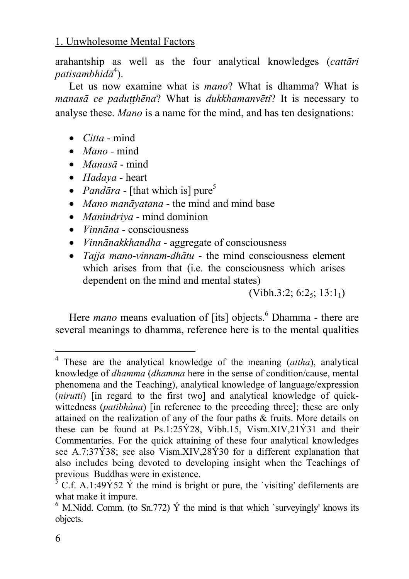arahantship as well as the four analytical knowledges (*cattāri*   $p$ atisambhid $\bar{a}^4$ ).

Let us now examine what is *mano*? What is dhamma? What is *manasā ce paduṭṭhēna*? What is *dukkhamanvēti*? It is necessary to analyse these. *Mano* is a name for the mind, and has ten designations:

- *Citta* mind
- *Mano -* mind
- *Manasā* mind
- *Hadaya -* heart
- *Pand* $\bar{a}$ *ra* [that which is] pure<sup>5</sup>
- *Mano manāyatana* the mind and mind base
- *Manindriya -* mind dominion
- *Vinnāna* consciousness
- *Vinnānakkhandha* aggregate of consciousness
- *Tajja mano-vinnam-dhātu -* the mind consciousness element which arises from that (i.e. the consciousness which arises dependent on the mind and mental states)

 $(Vibh.3:2; 6:2<sub>5</sub>; 13:1<sub>1</sub>)$ 

Here *mano* means evaluation of [its] objects.<sup>6</sup> Dhamma - there are several meanings to dhamma, reference here is to the mental qualities

 <sup>4</sup> These are the analytical knowledge of the meaning (*attha*), analytical knowledge of *dhamma* (*dhamma* here in the sense of condition/cause, mental phenomena and the Teaching), analytical knowledge of language/expression (*nirutti*) [in regard to the first two] and analytical knowledge of quickwittedness (*patibhàna*) [in reference to the preceding three]; these are only attained on the realization of any of the four paths & fruits. More details on these can be found at Ps.1:25 $\angle$ 28, Vibh.15, Vism.XIV,21 $\angle$ 21 and their Commentaries. For the quick attaining of these four analytical knowledges see A.7:37Ý38; see also Vism.XIV,28Ý30 for a different explanation that also includes being devoted to developing insight when the Teachings of previous Buddhas were in existence. 5

 $\frac{3}{5}$  C.f. A.1:49 $\frac{1}{2}$  Y the mind is bright or pure, the 'visiting' defilements are what make it impure.<br><sup>6</sup> M.Nidd. Comm. (to Sn.772)  $\acute{Y}$  the mind is that which `surveyingly' knows its

objects.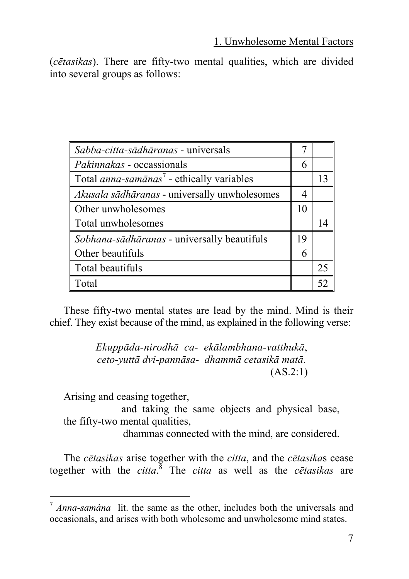(*cētasikas*). There are fifty-two mental qualities, which are divided into several groups as follows:

| Sabba-citta-sādhāranas - universals                          |    |    |
|--------------------------------------------------------------|----|----|
| Pakinnakas - occassionals                                    |    |    |
| Total <i>anna-samānas</i> <sup>7</sup> - ethically variables |    | 13 |
| Akusala sādhāranas - universally unwholesomes                | 4  |    |
| Other unwholesomes                                           |    |    |
| Total unwholesomes                                           |    | 14 |
| Sobhana-sādhāranas - universally beautifuls                  | 19 |    |
| Other beautifuls                                             |    |    |
| Total beautifuls                                             |    | 25 |
| Total                                                        |    |    |

These fifty-two mental states are lead by the mind. Mind is their chief. They exist because of the mind, as explained in the following verse:

> *Ekuppāda-nirodhā ca- ekālambhana-vatthukā*, *ceto-yuttā dvi-pannāsa- dhammā cetasikā matā*. (AS.2:1)

Arising and ceasing together,

 and taking the same objects and physical base, the fifty-two mental qualities,

dhammas connected with the mind, are considered.

<span id="page-6-0"></span>The *cētasikas* arise together with the *citta*, and the *cētasika*s cease together with the *citta*. 8 The *citta* as well as the *cētasikas* are

 <sup>7</sup> *Anna-samàna* lit. the same as the other, includes both the universals and occasionals, and arises with both wholesome and unwholesome mind states.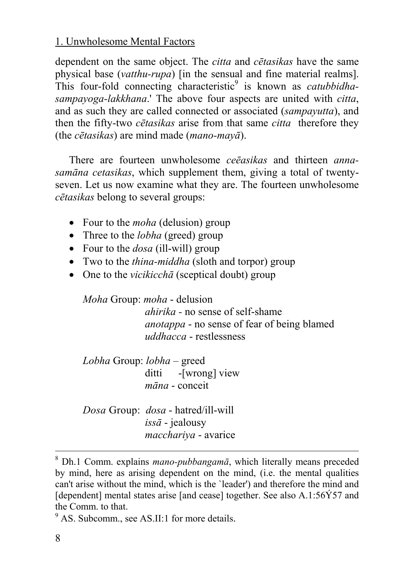dependent on the same object. The *citta* and *cētasikas* have the same physical base (*vatthu-rupa*) [in the sensual and fine material realms]. This four-fold connecting characteristic<sup>9</sup> is known as *catubbidhasampayoga-lakkhana*.' The above four aspects are united with *citta*, and as such they are called connected or associated (*sampayutta*), and then the fifty-two *cētasikas* arise from that same *citta* therefore they (the *cētasikas*) are mind made (*mano-mayā*).

There are fourteen unwholesome *ceēasikas* and thirteen *annasamāna cetasikas*, which supplement them, giving a total of twentyseven. Let us now examine what they are. The fourteen unwholesome *cētasikas* belong to several groups:

- Four to the *moha* (delusion) group
- Three to the *lobha* (greed) group
- Four to the *dosa* (ill-will) group
- Two to the *thina-middha* (sloth and torpor) group
- One to the *vicikicchā* (sceptical doubt) group

*Moha* Group: *moha* - delusion *ahirika -* no sense of self-shame *anotappa* - no sense of fear of being blamed *uddhacca* - restlessness

*Lobha* Group: *lobha –* greed ditti -[wrong] view *māna* - conceit

*Dosa* Group: *dosa* - hatred/ill-will *issā* - jealousy *macchariya* - avarice

 <sup>8</sup> Dh.1 Comm. explains *mano-pubbangamā*, which literally means preceded by mind, here as arising dependent on the mind, (i.e. the mental qualities can't arise without the mind, which is the `leader') and therefore the mind and [dependent] mental states arise [and cease] together. See also  $A.1:56\overline{Y}57$  and the Comm. to that.

<sup>&</sup>lt;sup>9</sup> AS. Subcomm., see AS.II:1 for more details.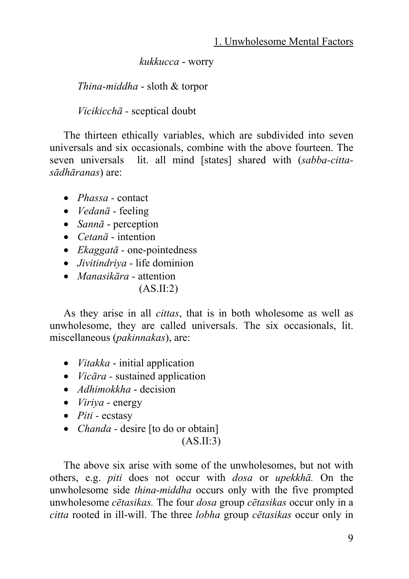*kukkucca* - worry

*Thina-middha* - sloth & torpor

*Vicikicchā -* sceptical doubt

The thirteen ethically variables, which are subdivided into seven universals and six occasionals, combine with the above fourteen. The seven universals lit. all mind [states] shared with (*sabba-cittasādhāranas*) are:

- *Phassa -* contact
- *Vedanā -* feeling
- *Sannā* perception
- *Cetanā* intention
- *Ekaggatā -* one-pointedness
- *Jivitindriya -* life dominion
- *Manasikāra -* attention
	- $(AS.II:2)$

As they arise in all *cittas*, that is in both wholesome as well as unwholesome, they are called universals. The six occasionals, lit. miscellaneous (*pakinnakas*), are:

- *Vitakka*  initial application
- *Vicāra -* sustained application
- *Adhimokkha* decision
- *Viriya*  energy
- *Piti -* ecstasy
- *Chanda -* desire [to do or obtain]  $(AS.II:3)$

The above six arise with some of the unwholesomes, but not with others, e.g. *piti* does not occur with *dosa* or *upekkhā.* On the unwholesome side *thina-middha* occurs only with the five prompted unwholesome *cētasikas.* The four *dosa* group *cētasikas* occur only in a *citta* rooted in ill-will. The three *lobha* group *cētasikas* occur only in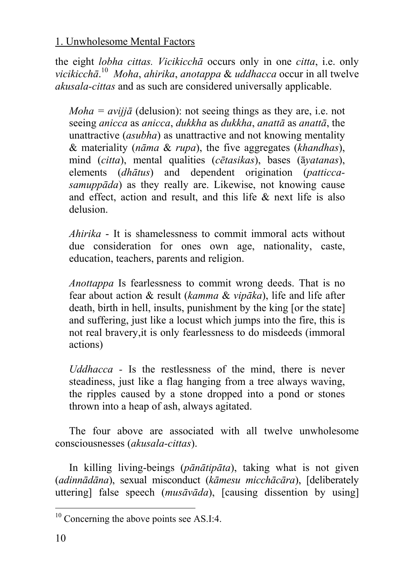the eight *lobha cittas. Vicikicchā* occurs only in one *citta*, i.e. only *vicikicchā*. <sup>10</sup> *Moha*, *ahirika*, *anotappa* & *uddhacca* occur in all twelve *akusala-cittas* and as such are considered universally applicable.

*Moha = avijjā* (delusion): not seeing things as they are, i.e. not seeing *anicca* as *anicca*, *dukkha* as *dukkha*, *anattā* as *anattā*, the unattractive (*asubha*) as unattractive and not knowing mentality & materiality (*nāma* & *rupa*), the five aggregates (*khandhas*), mind (*citta*), mental qualities (*cētasikas*), bases (ā*yatanas*), elements (*dhātus*) and dependent origination (*patticcasamuppāda*) as they really are. Likewise, not knowing cause and effect, action and result, and this life & next life is also delusion.

*Ahirika* - It is shamelessness to commit immoral acts without due consideration for ones own age, nationality, caste, education, teachers, parents and religion.

*Anottappa* Is fearlessness to commit wrong deeds. That is no fear about action & result (*kamma* & *vipāka*), life and life after death, birth in hell, insults, punishment by the king [or the state] and suffering, just like a locust which jumps into the fire, this is not real bravery,it is only fearlessness to do misdeeds (immoral actions)

*Uddhacca -* Is the restlessness of the mind, there is never steadiness, just like a flag hanging from a tree always waving, the ripples caused by a stone dropped into a pond or stones thrown into a heap of ash, always agitated.

The four above are associated with all twelve unwholesome consciousnesses (*akusala-cittas*).

In killing living-beings (*pānātipāta*), taking what is not given (*adinnādāna*), sexual misconduct (*kāmesu micchācāra*), [deliberately uttering] false speech (*musāvāda*), [causing dissention by using]

 $10$  Concerning the above points see AS.I:4.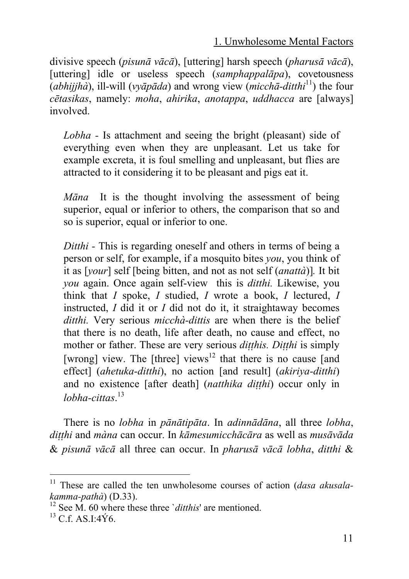divisive speech (*pisunā vācā*), [uttering] harsh speech (*pharusā vācā*), [uttering] idle or useless speech (*samphappalapa*), covetousness (*abhijjhà*), ill-will (*vyāpāda*) and wrong view (*micchā-ditthi*11) the four *cētasikas*, namely: *moha*, *ahirika*, *anotappa*, *uddhacca* are [always] involved.

*Lobha -* Is attachment and seeing the bright (pleasant) side of everything even when they are unpleasant. Let us take for example excreta, it is foul smelling and unpleasant, b[ut f](#page-10-0)lies are attracted to it considering it to be pleasant and pigs eat it.

*Māna* It is the thought involving the assessment of being superior, equal or inferior to oth[ers](#page-10-1), the comparison that so and so is superior, equal or inferior to one.

*Ditthi -* This is regarding oneself and others in terms of being a person or self, for example, if a mosquito bites *you*, you think of it as [*your*] self [being bitten, and not as not self (*anattà*)]*.* It bit *you* again. Once again self-view this is *ditthi.* Likewise, you think that *I* spoke, *I* studied, *I* wrote a book, *I* lectured, *I*  instructed, *I* did it or *I* did not do it, it straightaway becomes *ditthi.* Very serious *micchà-dittis* are when there is the belief that there is no death, life after death, no cause and effect, no mother or father. These are very serious *ditthis. Ditthi* is simply [wrong] view. The [three] views<sup>12</sup> that there is no cause [and effect] (*ahetuka-ditthi*), no action [and result] (*akiriya-ditthi*) and no existence [after death] (*natthika ditthi*) occur only in *lobha-cittas*. 13

There is no *lobha* in *pānātipāta*. In *adinnādāna*, all three *lobha*, *di. t. thi* and *màna* can occur. In *kāmesumicchācāra* as well as *musāvāda* & *pisunā vācā* all three can occur. In *pharusā vācā lobha*, *ditthi* &

<sup>&</sup>lt;sup>11</sup> These are called the ten unwholesome courses of action (*dasa akusala-kamma-pathà*) (D.33).

<span id="page-10-0"></span><sup>&</sup>lt;sup>12</sup> See M. 60 where these three *`ditthis'* are mentioned. <sup>13</sup> C.f. AS.I:4Ý6.

<span id="page-10-1"></span>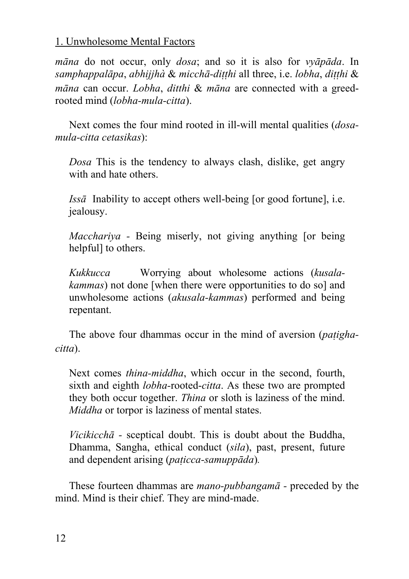*māna* do not occur, only *dosa*; and so it is also for *vyāpāda*. In *samphappalāpa*, *abhijjhà* & *micchā-di. t. thi* all three, i.e. *lobha*, *di. t. thi* & *māna* can occur. *Lobha*, *ditthi* & *māna* are connected with a greedrooted mind (*lobha-mula-citta*).

Next comes the four mind rooted in ill-will mental qualities (*dosamula-citta cetasikas*):

*Dosa* This is the tendency to always clash, dislike, get angry with and hate others.

*Issā* Inability to accept others well-being [or good fortune], i.e. jealousy.

*Macchariya -* Being miserly, not giving anything [or being helpful] to others.

*Kukkucca* Worrying about wholesome actions (*kusalakammas*) not done [when there were opportunities to do so] and unwholesome actions (*akusala-kammas*) performed and being repentant.

The above four dhammas occur in the mind of aversion (*patighacitta*).

Next comes *thina-middha*, which occur in the second, fourth, sixth and eighth *lobha-*rooted-*citta*. As these two are prompted they both occur together. *Thina* or sloth is laziness of the mind. *Middha* or torpor is laziness of mental states.

*Vicikicchā -* sceptical doubt. This is doubt about the Buddha, Dhamma, Sangha, ethical conduct (*sila*), past, present, future and dependent arising (paticca-samuppāda).

These fourteen dhammas are *mano-pubbangamā -* preceded by the mind. Mind is their chief. They are mind-made.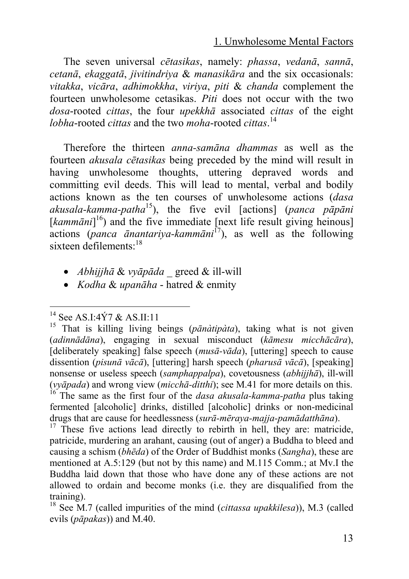The seven universal *cētasikas*, na[mel](#page-12-1)y: *phassa*, *vedanā*, *sannā*, *cetanā*, *ekaggatā*, *jivitindriya* & *manasikāra* and the six occasionals: *vitakka*, *vicāra*, *adhimokkha*, *viriya*, *piti* & *chanda* complement the fourteen unwholesome cetasikas. *Piti* does not occur with the two *dosa*-rooted *cittas*, the four *upekkhā* associated *cittas* of the eight *lobha*-rooted *cittas* and the two *moha*-rooted *cittas*. 14

Therefore the thirteen *anna-samāna dhammas* as well as the fourteen *akusala cētasikas* being preceded by the mind will result in having unwholesome thoughts, uttering depraved words and committing evil deeds. This will lead to mental, verbal and bodily actions known as the ten courses of unwholesome actions (*dasa akusala-kamma-patha*15), the five evil [actions] (*panca pāpāni*  [kamm*āni*]<sup>16</sup>) and the five immediate [next life result giving heinous] actions (*panca ānantariya-kammāni*17), as well as the following sixteen defilements:<sup>18</sup>

- *Abhijjhā* & *vyāpāda* \_ greed & ill-will
- *Kodha* & *upanāha* hatred & enmity

 <sup>14</sup> See AS.I:4Ý7 & AS.II:11

<sup>15</sup> That is killing living beings (*pānàtipàta*), taking what is not given (*adinnādāna*), engaging in sexual misconduct (*kāmesu micchācāra*), [deliberately speaking] false speech (*musā-vāda*), [uttering] speech to cause dissention (*pisunā vācā*), [uttering] harsh speech (*pharusā vācā*), [speaking] nonsense or useless speech (*samphappalpa*), covetousness (*abhijjhā*), ill-will (*vyāpada*) and wrong view (*micchā-ditthi*); see M.41 for more details on this. 16 The same as the first four of the *dasa akusala-kamma-patha* plus taking fermented [alcoholic] drinks, distilled [alcoholic] drinks or non-medicinal drugs that are cause for heedlessness (*surā-mēraya-majja-pamādatthāna*). 17 These five actions lead directly to rebirth in hell, they are: matricide,

<span id="page-12-0"></span>patricide, murdering an arahant, causing (out of anger) a Buddha to bleed and causing a schism (*bhēda*) of the Order of Buddhist monks (*Sangha*), these are mentioned at A.5:129 (but not by this name) and M.115 Comm.; at Mv.I the Buddha laid down that those who have done any of these actions are not allowed to ordain and become monks (i.e. they are disqualified from the training). 18 See M.7 (called impurities of the mind (*cittassa upakkilesa*)), M.3 (called

<span id="page-12-1"></span>evils (*pāpakas*)) and M.40.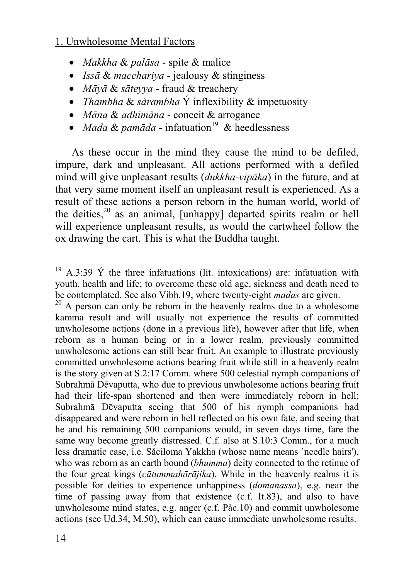- *Makkha* & *palāsa* spite & malice
- *Issā* & *macchariya* jealousy & stinginess
- *Māyā* & *sāteyya* fraud & treachery
- *Thambha* & *sàrambha* Ý inflexibility & impetuosity
- *Māna* & *adhimàna* conceit & arrogance
- *Mada & pamāda* infatuation<sup>19</sup> & heedlessness

As these occur in the mind they cause the mind to be defiled, impure, dark and unpleasant. All actions performed with a defiled mind will give unpleasant results (*dukkha-vipāka*) in the future, and at that very same moment itself an unpleasant result is experienced. As a result of these actions a person reborn in the human world, world of the deities, $20$  as an animal, [unhappy] departed spirits realm or hell will experience unpleasant results, as would the cartwheel follow the ox drawing the cart. This is what the Buddha taught.

<sup>&</sup>lt;sup>19</sup> A.3:39  $\acute{Y}$  the three infatuations (lit. intoxications) are: infatuation with youth, health and life; to overcome these old age, sickness and death need to be contemplated. See also Vibh.19, where twenty-eight *madas* are given.

<sup>&</sup>lt;sup>20</sup> A person can only be reborn in the heavenly realms due to a wholesome kamma result and will usually not experience the results of committed unwholesome actions (done in a previous life), however after that life, when reborn as a human being or in a lower realm, previously committed unwholesome actions can still bear fruit. An example to illustrate previously committed unwholesome actions bearing fruit while still in a heavenly realm is the story given at S.2:17 Comm. where 500 celestial nymph companions of Subrahmā Dēvaputta, who due to previous unwholesome actions bearing fruit had their life-span shortened and then were immediately reborn in hell; Subrahmā Dēvaputta seeing that 500 of his nymph companions had disappeared and were reborn in hell reflected on his own fate, and seeing that he and his remaining 500 companions would, in seven days time, fare the same way become greatly distressed. C.f. also at S.10:3 Comm., for a much less dramatic case, i.e. Såciloma Yakkha (whose name means `needle hairs'), who was reborn as an earth bound (*bhumma*) deity connected to the retinue of the four great kings (*cātummahārājika*). While in the heavenly realms it is possible for deities to experience unhappiness (*domanassa*), e.g. near the time of passing away from that existence (c.f. It.83), and also to have unwholesome mind states, e.g. anger (c.f. Pàc.10) and commit unwholesome actions (see Ud.34; M.50), which can cause immediate unwholesome results.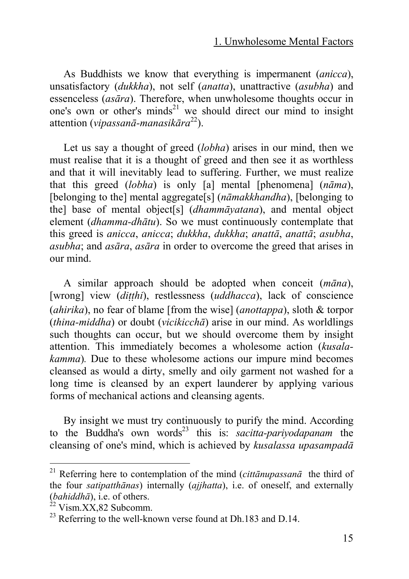As Buddhists we know that everything is impermanent (*anicca*), unsatisfactory (*dukkha*), not self (*anatta*), unattractive (*asubha*) and essenceless (*asāra*). Therefore, when unwholesome thoughts occur in one's own or other's minds<sup>21</sup> we should direct our mind to insight attention (*vipassanā-manasikāra* 22).

Let us say a thought of greed (*lobha*) arises in our mind, then we must realise that it is a thought of greed and then see it as worthless and that it will inevitably lead to suffering. Further, we must realize that this greed (*lobha*) is only [a] mental [phenomena] (*nāma*), [belonging to the] mental aggregate[s] (*nāmakkhandha*), [belonging to the] base of mental object[s] (*dhammāyatana*), and mental object element (*dhamma-dhātu*). So we must continuously contemplate that this greed is *anicca*, *anicca*; *dukkha*, *dukkha*; *anatt[ā](#page-14-0)*, *anattā*; *asubha*, *asubha*; and *asāra*, *asāra* in order to overcome the greed that arises in our mind.

A similar approach should be adopted when conceit (*māna*), [wrong] view (ditthi), restlessness (uddhacca), lack of conscience (*ahirika*), no fear of blame [from the wise] (*anottappa*), sloth & torpor (*thina-middha*) or doubt (*vicikicchā*) arise in our mind. As worldlings such thoughts can occur, but we should overcome them by insight attention. This immediately becomes a wholesome action (*kusalakamma*)*.* Due to these wholesome actions our impure mind becomes cleansed as would a dirty, smelly and oily garment not washed for a long time is cleansed by an expert launderer by applying various forms of mechanical actions and cleansing agents.

By insight we must try continuously to purify the mind. According to the Buddha's own words<sup>23</sup> this is: *sacitta-parivodapanam* the cleansing of one's mind, which is achieved by *kusalassa upasampadā*

 <sup>21</sup> Referring here to contemplation of the mind (*cittānupassan<sup>ā</sup>* the third of the four *satipatthānas*) internally (*ajjhatta*), i.e. of oneself, and externally (*bahiddhā*), i.e. of others.<br><sup>22</sup> Vism.XX,82 Subcomm.<br><sup>23</sup> Referring to the well-known verse found at Dh.183 and D.14.

<span id="page-14-0"></span>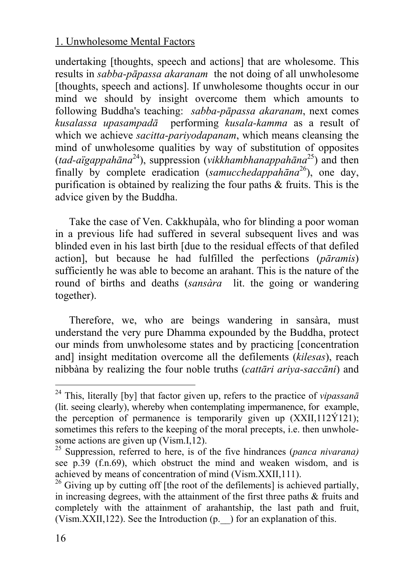undertaking [thoughts, speech and actions] that are wholesome. This results in *sabba-pāpassa akaranam* the not doing of all unwholesome [thoughts, speech and actions]. If unwholesome thoughts occur in our mind we should by insight overcome them which amounts to following Buddha's teaching: *sabba-pāpassa akaranam*, next comes *kusalassa upasampadā* performing *kusala-kamma* as a result of which we achieve *sacitta-pariyodapanam*, which means cleansing the mind of unwholesome qualities by way of substitution of opposites (*tad-aïgappahāna* 24), suppression (*vikkhambhanappahāna* 25) and then finally by complete eradication (*samucchedappahāna* 26), one day, purification is obtained by realizing the four paths & fruits. This is the advice given by the Buddha.

Take the case of Ven. Cakkhupàla, who for blinding a poor woman in a previous life had suffered in several subsequent lives and was blinded even in his last birth [due to the residual effects of that defiled action], but because he had fulfilled the perfections (*pāramis*) sufficiently he was able to become an arahant. This is the nature of the round of births and deaths (*sansàra* lit. the going or wandering together).

Therefore, we, who are beings wandering in sansàra, must understand the very pure Dhamma expounded by the Buddha, protect our minds from unwholesome states and by practicing [concentration and] insight meditation overcome all the defilements (*kilesas*), reach nibbàna by realizing the four noble truths (*cattāri ariya-saccāni*) and

 <sup>24</sup> This, literally [by] that factor given up, refers to the practice of *vipassan<sup>ā</sup>* (lit. seeing clearly), whereby when contemplating impermanence, for example, the perception of permanence is temporarily given up  $(XXII, 112Y121)$ ; sometimes this refers to the keeping of the moral precepts, i.e. then unwholesome actions are given up (Vism.I,12). 25 Suppression, referred to here, is of the five hindrances (*panca nivarana)*

see p.39 (f.n.69), which obstruct the mind and weaken wisdom, and is achieved by means of concentration of mind (Vism, XXII, 111).

<sup>&</sup>lt;sup>26</sup> Giving up by cutting off [the root of the defilements] is achieved partially, in increasing degrees, with the attainment of the first three paths & fruits and completely with the attainment of arahantship, the last path and fruit, (Vism.XXII,122). See the Introduction (p.\_\_) for an explanation of this.